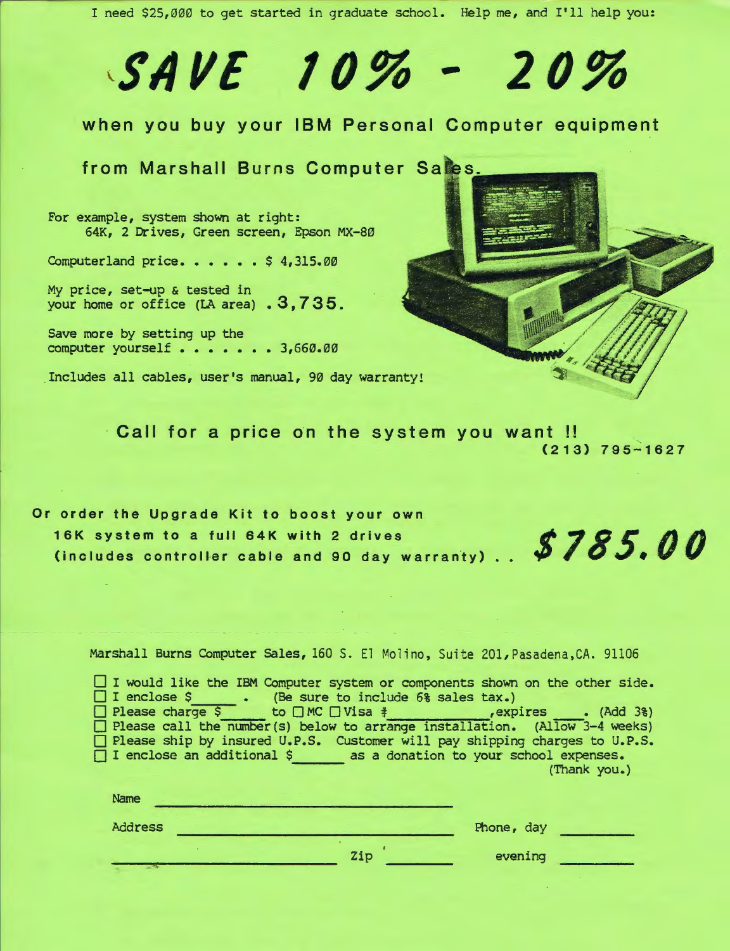I need \$25,000 to get started in graduate school. Help me, and I'll help you:

## SII VE *10%* - *20%*

## when you buy your IBM Personal Computer equipment

from Marshall Burns Computer Sales.

For example, system shown at right: 64K, 2 Drives, Green screen, Epson MX-80

Computerland price. . . . . \$ 4,315.00

My price, set-up & tested in your home or office (LA area) . 3,735.

Save more by setting up the computer yourself . . . . . . 3,660.00

Includes all cables, user's manual, 90 day warranty!

Call for a price on the system you want !! (213) 795-1627

Or order the Upgrade Kit to boost your own 16K system to a full 64K with 2 drives 16K system to a full 64K with 2 drives<br>(includes controller cable and 90 day warranty) . . **\$785.00** 

Marshall Burns Computer Sales, 160 S. El Molino, Suite 201, Pasadena, CA. 91106

 $\Box$  I would like the IBM Computer system or components shown on the other side. [] I enclose \$ (Be sure to include 6% sales tax.) [] Please charge \$ to 0 MC 0 Visa *it* ,expires \_\_ • (Add 3%) [] Please call the number(s) below to arrange installation. (Allow 3-4 weeks) [] Please ship by insured U.P.S. Customer will pay shipping charges to U.P.S. [] I enclose an additional \$ as a donation to your school expenses. (Thank you.) Name

| Address |     | Phone, day |  |
|---------|-----|------------|--|
|         | Zip | evening    |  |
|         |     |            |  |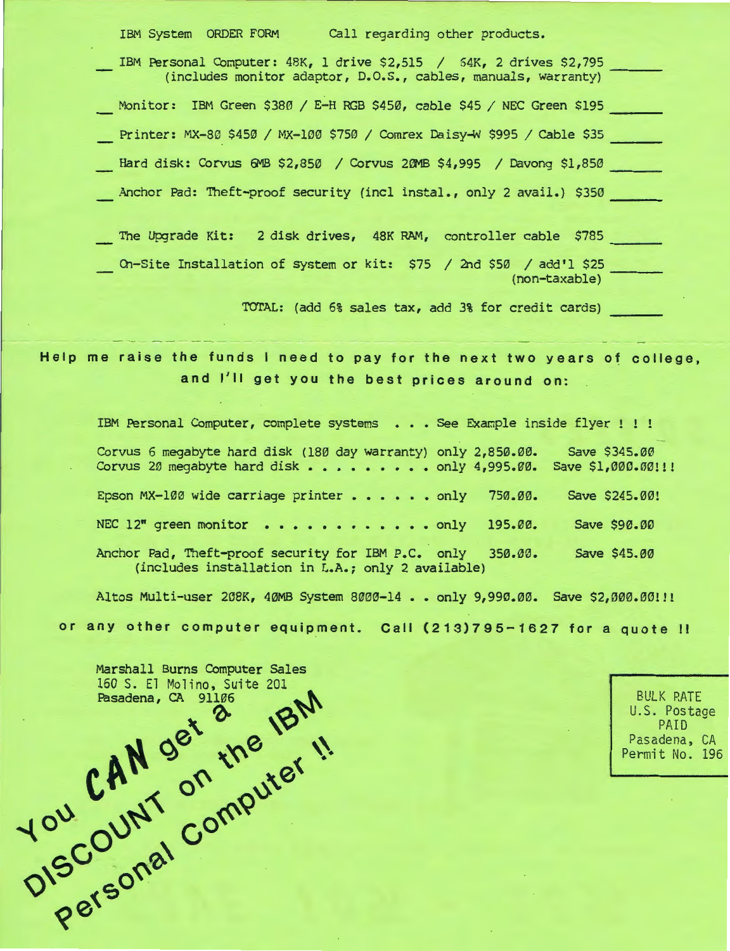| IBM System ORDER FORM<br>Call regarding other products.                                                                              |
|--------------------------------------------------------------------------------------------------------------------------------------|
| IBM Personal Computer: 48K, 1 drive \$2,515 / 54K, 2 drives \$2,795<br>(includes monitor adaptor, D.O.S., cables, manuals, warranty) |
| Monitor: IBM Green \$380 / E-H RGB \$450, cable \$45 / NEC Green \$195                                                               |
| Printer: MX-80 \$450 / MX-100 \$750 / Comrex Daisy-W \$995 / Cable \$35                                                              |
| Hard disk: Corvus 6MB \$2,850 / Corvus 20MB \$4,995 / Davong \$1,850                                                                 |
| Anchor Pad: Theft-proof security (incl instal., only 2 avail.) \$350                                                                 |
| The Upgrade Kit: 2 disk drives, 48K RAM, controller cable \$785                                                                      |
| On-Site Installation of system or kit: \$75 / 2nd \$50 / add'l \$25<br>(non-taxable)                                                 |

TOTAL: (add 6% sales tax, add 3% for credit cards)

Help me raise the funds I need to pay for the next two years of college, and I'll get you the best prices around on:

IBM Personal Computer, complete systems . . . See Example inside flyer ! ! ! Corvus 6 megabyte hard disk (180 day warranty) only 2,850.00. Corvus 20 megabyte hard disk . . . . . . . . . only 4,995.00. Save \$1,000.00!!! Epson MX-100 wide carriage printer  $\ldots$  . . . only 750.00. NEC 12" green monitor . . . . . . . . . . . only 195.00. Anchor Pad, Theft-proof security for IBM P.C. only 350.00. (includes installation in L.A.; only 2 available) Save \$345.00 Save \$245.00! Save \$90.00 Save \$45.00

Altos Multi-user 208K, 40MB System 8000-14 •• only 9,990.00. Save \$2,000.00!!! or any other computer equipment. Call (213)795-1627 for a quote <sup>11</sup>

Marshall Burns Computer Sales 160 S. El Molino, Suite 201<br>Pasadena, CA 91106  $\cdot$   $^2$   $\cdot$   $\cdot$   $\cdot$   $\cdot$  $CH^N$  get the  $\frac{1}{2}$  ii. 10° COUN COIN  $e^{5}$ 

BULK RATE U.S. Postage PAID Pasadena, CA Permit No. 196

I